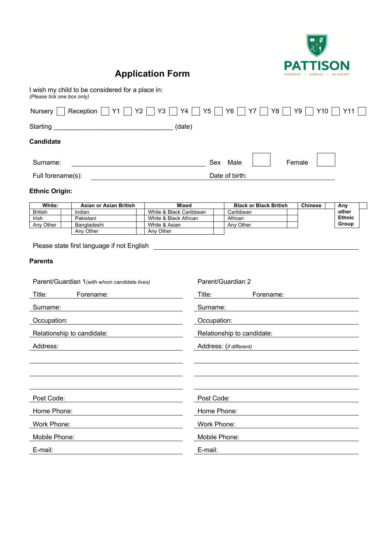

## **Application Form**

I wish my child to be considered for a place in: *(Please tick one box only)*

| Nursery                                                        | Reception     Y1     Y2     Y3     Y4     Y5     Y6 |                            |                                        |             | Y8     Y9  <br>Y7             | Y10            | Y11                    |  |  |
|----------------------------------------------------------------|-----------------------------------------------------|----------------------------|----------------------------------------|-------------|-------------------------------|----------------|------------------------|--|--|
| Starting                                                       |                                                     |                            | (date)                                 |             |                               |                |                        |  |  |
| <b>Candidate</b>                                               |                                                     |                            |                                        |             |                               |                |                        |  |  |
| Surname:                                                       |                                                     |                            |                                        |             | Sex Male                      | Female         |                        |  |  |
| Full forename(s):                                              |                                                     |                            |                                        |             | Date of birth:                |                |                        |  |  |
| <b>Ethnic Origin:</b>                                          |                                                     |                            |                                        |             |                               |                |                        |  |  |
| White:                                                         | <b>Asian or Asian British</b>                       |                            | <b>Mixed</b>                           |             | <b>Black or Black British</b> | <b>Chinese</b> | Any                    |  |  |
| <b>British</b>                                                 | Indian                                              |                            | White & Black Caribbean                |             | Caribbean                     |                | other                  |  |  |
| Irish                                                          | Pakistani<br>Bangladeshi                            |                            | White & Black African<br>White & Asian |             | African                       |                | <b>Ethnic</b><br>Group |  |  |
| Any Other                                                      | Any Other                                           |                            | Any Other                              |             | Any Other                     |                |                        |  |  |
| <b>Parents</b><br>Parent/Guardian 1(with whom candidate lives) |                                                     | Parent/Guardian 2          |                                        |             |                               |                |                        |  |  |
| Title:<br>Forename:                                            |                                                     |                            | Title:                                 | Forename:   |                               |                |                        |  |  |
| Surname:                                                       |                                                     | Surname:                   |                                        |             |                               |                |                        |  |  |
| Occupation:                                                    |                                                     | Occupation:                |                                        |             |                               |                |                        |  |  |
| Relationship to candidate:                                     |                                                     | Relationship to candidate: |                                        |             |                               |                |                        |  |  |
| Address:                                                       |                                                     | Address: (if different)    |                                        |             |                               |                |                        |  |  |
|                                                                |                                                     |                            |                                        |             |                               |                |                        |  |  |
|                                                                |                                                     |                            |                                        |             |                               |                |                        |  |  |
| Post Code:                                                     |                                                     |                            |                                        | Post Code:  |                               |                |                        |  |  |
| Home Phone:                                                    |                                                     | Home Phone:                |                                        |             |                               |                |                        |  |  |
| Work Phone:                                                    |                                                     |                            |                                        | Work Phone: |                               |                |                        |  |  |
| Mobile Phone:                                                  |                                                     | Mobile Phone:              |                                        |             |                               |                |                        |  |  |
| E-mail:                                                        | E-mail:                                             |                            |                                        |             |                               |                |                        |  |  |